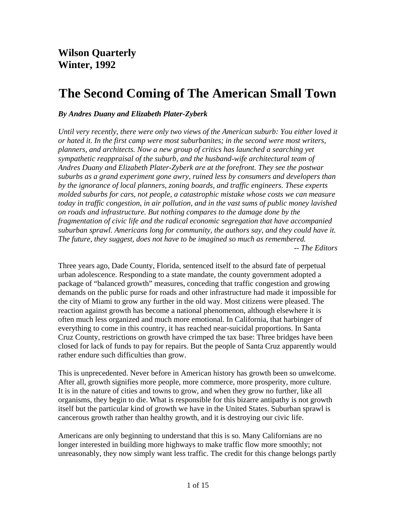## **The Second Coming of The American Small Town**

## *By Andres Duany and Elizabeth Plater-Zyberk*

*Until very recently, there were only two views of the American suburb: You either loved it or hated it. In the first camp were most suburbanites; in the second were most writers, planners, and architects. Now a new group of critics has launched a searching yet sympathetic reappraisal of the suburb, and the husband-wife architectural team of Andres Duany and Elizabeth Plater-Zyberk are at the forefront. They see the postwar suburbs as a grand experiment gone awry, ruined less by consumers and developers than by the ignorance of local planners, zoning boards, and traffic engineers. These experts molded suburbs for cars, not people, a catastrophic mistake whose costs we can measure today in traffic congestion, in air pollution, and in the vast sums of public money lavished on roads and infrastructure. But nothing compares to the damage done by the fragmentation of civic life and the radical economic segregation that have accompanied suburban sprawl. Americans long for community, the authors say, and they could have it. The future, they suggest, does not have to be imagined so much as remembered. -- The Editors* 

Three years ago, Dade County, Florida, sentenced itself to the absurd fate of perpetual urban adolescence. Responding to a state mandate, the county government adopted a package of "balanced growth" measures, conceding that traffic congestion and growing demands on the public purse for roads and other infrastructure had made it impossible for the city of Miami to grow any further in the old way. Most citizens were pleased. The reaction against growth has become a national phenomenon, although elsewhere it is often much less organized and much more emotional. In California, that harbinger of everything to come in this country, it has reached near-suicidal proportions. In Santa Cruz County, restrictions on growth have crimped the tax base: Three bridges have been closed for lack of funds to pay for repairs. But the people of Santa Cruz apparently would rather endure such difficulties than grow.

This is unprecedented. Never before in American history has growth been so unwelcome. After all, growth signifies more people, more commerce, more prosperity, more culture. It is in the nature of cities and towns to grow, and when they grow no further, like all organisms, they begin to die. What is responsible for this bizarre antipathy is not growth itself but the particular kind of growth we have in the United States. Suburban sprawl is cancerous growth rather than healthy growth, and it is destroying our civic life.

Americans are only beginning to understand that this is so. Many Californians are no longer interested in building more highways to make traffic flow more smoothly; not unreasonably, they now simply want less traffic. The credit for this change belongs partly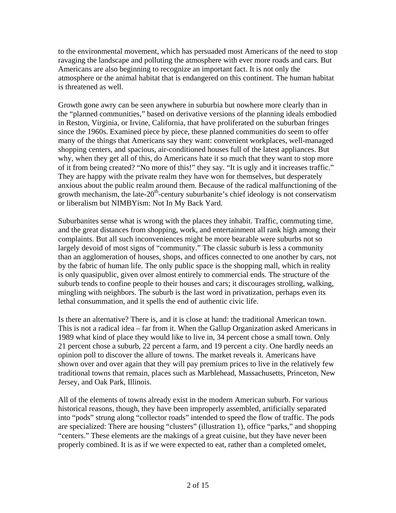to the environmental movement, which has persuaded most Americans of the need to stop ravaging the landscape and polluting the atmosphere with ever more roads and cars. But Americans are also beginning to recognize an important fact. It is not only the atmosphere or the animal habitat that is endangered on this continent. The human habitat is threatened as well.

Growth gone awry can be seen anywhere in suburbia but nowhere more clearly than in the "planned communities," based on derivative versions of the planning ideals embodied in Reston, Virginia, or Irvine, California, that have proliferated on the suburban fringes since the 1960s. Examined piece by piece, these planned communities do seem to offer many of the things that Americans say they want: convenient workplaces, well-managed shopping centers, and spacious, air-conditioned houses full of the latest appliances. But why, when they get all of this, do Americans hate it so much that they want to stop more of it from being created? "No more of this!" they say. "It is ugly and it increases traffic." They are happy with the private realm they have won for themselves, but desperately anxious about the public realm around them. Because of the radical malfunctioning of the growth mechanism, the late- $20<sup>th</sup>$ -century suburbanite's chief ideology is not conservatism or liberalism but NIMBYism: Not In My Back Yard.

Suburbanites sense what is wrong with the places they inhabit. Traffic, commuting time, and the great distances from shopping, work, and entertainment all rank high among their complaints. But all such inconveniences might be more bearable were suburbs not so largely devoid of most signs of "community." The classic suburb is less a community than an agglomeration of houses, shops, and offices connected to one another by cars, not by the fabric of human life. The only public space is the shopping mall, which in reality is only quasipublic, given over almost entirely to commercial ends. The structure of the suburb tends to confine people to their houses and cars; it discourages strolling, walking, mingling with neighbors. The suburb is the last word in privatization, perhaps even its lethal consummation, and it spells the end of authentic civic life.

Is there an alternative? There is, and it is close at hand: the traditional American town. This is not a radical idea – far from it. When the Gallup Organization asked Americans in 1989 what kind of place they would like to live in, 34 percent chose a small town. Only 21 percent chose a suburb, 22 percent a farm, and 19 percent a city. One hardly needs an opinion poll to discover the allure of towns. The market reveals it. Americans have shown over and over again that they will pay premium prices to live in the relatively few traditional towns that remain, places such as Marblehead, Massachusetts, Princeton, New Jersey, and Oak Park, Illinois.

All of the elements of towns already exist in the modern American suburb. For various historical reasons, though, they have been improperly assembled, artificially separated into "pods" strung along "collector roads" intended to speed the flow of traffic. The pods are specialized: There are housing "clusters" (illustration 1), office "parks," and shopping "centers." These elements are the makings of a great cuisine, but they have never been properly combined. It is as if we were expected to eat, rather than a completed omelet,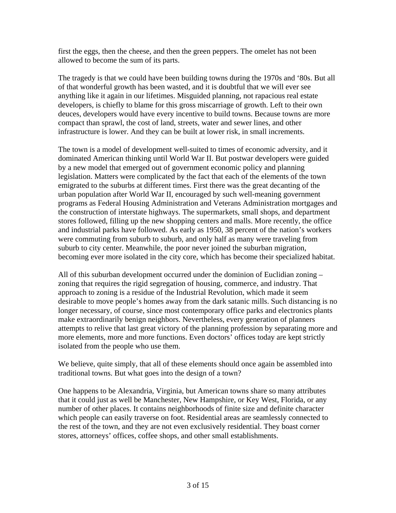first the eggs, then the cheese, and then the green peppers. The omelet has not been allowed to become the sum of its parts.

The tragedy is that we could have been building towns during the 1970s and '80s. But all of that wonderful growth has been wasted, and it is doubtful that we will ever see anything like it again in our lifetimes. Misguided planning, not rapacious real estate developers, is chiefly to blame for this gross miscarriage of growth. Left to their own deuces, developers would have every incentive to build towns. Because towns are more compact than sprawl, the cost of land, streets, water and sewer lines, and other infrastructure is lower. And they can be built at lower risk, in small increments.

The town is a model of development well-suited to times of economic adversity, and it dominated American thinking until World War II. But postwar developers were guided by a new model that emerged out of government economic policy and planning legislation. Matters were complicated by the fact that each of the elements of the town emigrated to the suburbs at different times. First there was the great decanting of the urban population after World War II, encouraged by such well-meaning government programs as Federal Housing Administration and Veterans Administration mortgages and the construction of interstate highways. The supermarkets, small shops, and department stores followed, filling up the new shopping centers and malls. More recently, the office and industrial parks have followed. As early as 1950, 38 percent of the nation's workers were commuting from suburb to suburb, and only half as many were traveling from suburb to city center. Meanwhile, the poor never joined the suburban migration, becoming ever more isolated in the city core, which has become their specialized habitat.

All of this suburban development occurred under the dominion of Euclidian zoning – zoning that requires the rigid segregation of housing, commerce, and industry. That approach to zoning is a residue of the Industrial Revolution, which made it seem desirable to move people's homes away from the dark satanic mills. Such distancing is no longer necessary, of course, since most contemporary office parks and electronics plants make extraordinarily benign neighbors. Nevertheless, every generation of planners attempts to relive that last great victory of the planning profession by separating more and more elements, more and more functions. Even doctors' offices today are kept strictly isolated from the people who use them.

We believe, quite simply, that all of these elements should once again be assembled into traditional towns. But what goes into the design of a town?

One happens to be Alexandria, Virginia, but American towns share so many attributes that it could just as well be Manchester, New Hampshire, or Key West, Florida, or any number of other places. It contains neighborhoods of finite size and definite character which people can easily traverse on foot. Residential areas are seamlessly connected to the rest of the town, and they are not even exclusively residential. They boast corner stores, attorneys' offices, coffee shops, and other small establishments.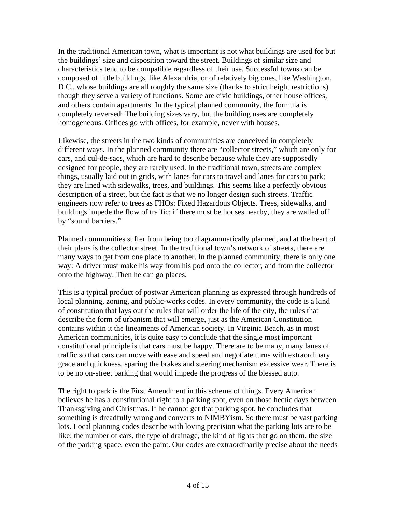In the traditional American town, what is important is not what buildings are used for but the buildings' size and disposition toward the street. Buildings of similar size and characteristics tend to be compatible regardless of their use. Successful towns can be composed of little buildings, like Alexandria, or of relatively big ones, like Washington, D.C., whose buildings are all roughly the same size (thanks to strict height restrictions) though they serve a variety of functions. Some are civic buildings, other house offices, and others contain apartments. In the typical planned community, the formula is completely reversed: The building sizes vary, but the building uses are completely homogeneous. Offices go with offices, for example, never with houses.

Likewise, the streets in the two kinds of communities are conceived in completely different ways. In the planned community there are "collector streets," which are only for cars, and cul-de-sacs, which are hard to describe because while they are supposedly designed for people, they are rarely used. In the traditional town, streets are complex things, usually laid out in grids, with lanes for cars to travel and lanes for cars to park; they are lined with sidewalks, trees, and buildings. This seems like a perfectly obvious description of a street, but the fact is that we no longer design such streets. Traffic engineers now refer to trees as FHOs: Fixed Hazardous Objects. Trees, sidewalks, and buildings impede the flow of traffic; if there must be houses nearby, they are walled off by "sound barriers."

Planned communities suffer from being too diagrammatically planned, and at the heart of their plans is the collector street. In the traditional town's network of streets, there are many ways to get from one place to another. In the planned community, there is only one way: A driver must make his way from his pod onto the collector, and from the collector onto the highway. Then he can go places.

This is a typical product of postwar American planning as expressed through hundreds of local planning, zoning, and public-works codes. In every community, the code is a kind of constitution that lays out the rules that will order the life of the city, the rules that describe the form of urbanism that will emerge, just as the American Constitution contains within it the lineaments of American society. In Virginia Beach, as in most American communities, it is quite easy to conclude that the single most important constitutional principle is that cars must be happy. There are to be many, many lanes of traffic so that cars can move with ease and speed and negotiate turns with extraordinary grace and quickness, sparing the brakes and steering mechanism excessive wear. There is to be no on-street parking that would impede the progress of the blessed auto.

The right to park is the First Amendment in this scheme of things. Every American believes he has a constitutional right to a parking spot, even on those hectic days between Thanksgiving and Christmas. If he cannot get that parking spot, he concludes that something is dreadfully wrong and converts to NIMBYism. So there must be vast parking lots. Local planning codes describe with loving precision what the parking lots are to be like: the number of cars, the type of drainage, the kind of lights that go on them, the size of the parking space, even the paint. Our codes are extraordinarily precise about the needs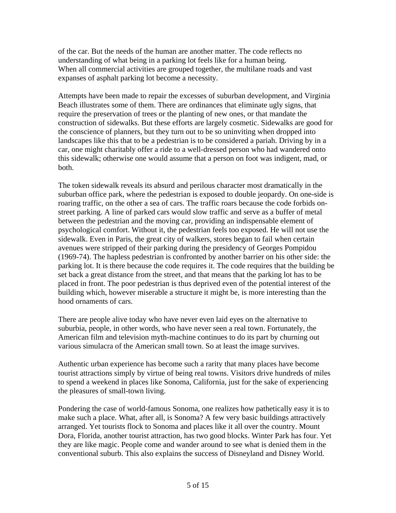of the car. But the needs of the human are another matter. The code reflects no understanding of what being in a parking lot feels like for a human being. When all commercial activities are grouped together, the multilane roads and vast expanses of asphalt parking lot become a necessity.

Attempts have been made to repair the excesses of suburban development, and Virginia Beach illustrates some of them. There are ordinances that eliminate ugly signs, that require the preservation of trees or the planting of new ones, or that mandate the construction of sidewalks. But these efforts are largely cosmetic. Sidewalks are good for the conscience of planners, but they turn out to be so uninviting when dropped into landscapes like this that to be a pedestrian is to be considered a pariah. Driving by in a car, one might charitably offer a ride to a well-dressed person who had wandered onto this sidewalk; otherwise one would assume that a person on foot was indigent, mad, or both.

The token sidewalk reveals its absurd and perilous character most dramatically in the suburban office park, where the pedestrian is exposed to double jeopardy. On one-side is roaring traffic, on the other a sea of cars. The traffic roars because the code forbids onstreet parking. A line of parked cars would slow traffic and serve as a buffer of metal between the pedestrian and the moving car, providing an indispensable element of psychological comfort. Without it, the pedestrian feels too exposed. He will not use the sidewalk. Even in Paris, the great city of walkers, stores began to fail when certain avenues were stripped of their parking during the presidency of Georges Pompidou (1969-74). The hapless pedestrian is confronted by another barrier on his other side: the parking lot. It is there because the code requires it. The code requires that the building be set back a great distance from the street, and that means that the parking lot has to be placed in front. The poor pedestrian is thus deprived even of the potential interest of the building which, however miserable a structure it might be, is more interesting than the hood ornaments of cars.

There are people alive today who have never even laid eyes on the alternative to suburbia, people, in other words, who have never seen a real town. Fortunately, the American film and television myth-machine continues to do its part by churning out various simulacra of the American small town. So at least the image survives.

Authentic urban experience has become such a rarity that many places have become tourist attractions simply by virtue of being real towns. Visitors drive hundreds of miles to spend a weekend in places like Sonoma, California, just for the sake of experiencing the pleasures of small-town living.

Pondering the case of world-famous Sonoma, one realizes how pathetically easy it is to make such a place. What, after all, is Sonoma? A few very basic buildings attractively arranged. Yet tourists flock to Sonoma and places like it all over the country. Mount Dora, Florida, another tourist attraction, has two good blocks. Winter Park has four. Yet they are like magic. People come and wander around to see what is denied them in the conventional suburb. This also explains the success of Disneyland and Disney World.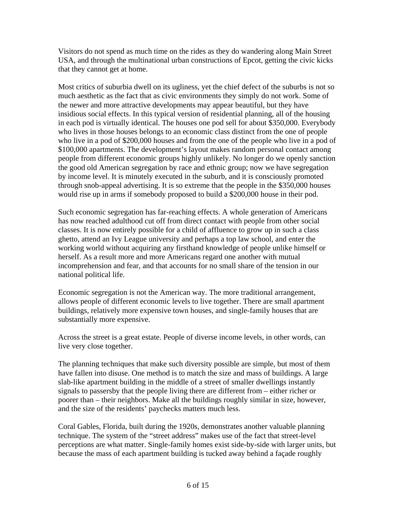Visitors do not spend as much time on the rides as they do wandering along Main Street USA, and through the multinational urban constructions of Epcot, getting the civic kicks that they cannot get at home.

Most critics of suburbia dwell on its ugliness, yet the chief defect of the suburbs is not so much aesthetic as the fact that as civic environments they simply do not work. Some of the newer and more attractive developments may appear beautiful, but they have insidious social effects. In this typical version of residential planning, all of the housing in each pod is virtually identical. The houses one pod sell for about \$350,000. Everybody who lives in those houses belongs to an economic class distinct from the one of people who live in a pod of \$200,000 houses and from the one of the people who live in a pod of \$100,000 apartments. The development's layout makes random personal contact among people from different economic groups highly unlikely. No longer do we openly sanction the good old American segregation by race and ethnic group; now we have segregation by income level. It is minutely executed in the suburb, and it is consciously promoted through snob-appeal advertising. It is so extreme that the people in the \$350,000 houses would rise up in arms if somebody proposed to build a \$200,000 house in their pod.

Such economic segregation has far-reaching effects. A whole generation of Americans has now reached adulthood cut off from direct contact with people from other social classes. It is now entirely possible for a child of affluence to grow up in such a class ghetto, attend an Ivy League university and perhaps a top law school, and enter the working world without acquiring any firsthand knowledge of people unlike himself or herself. As a result more and more Americans regard one another with mutual incomprehension and fear, and that accounts for no small share of the tension in our national political life.

Economic segregation is not the American way. The more traditional arrangement, allows people of different economic levels to live together. There are small apartment buildings, relatively more expensive town houses, and single-family houses that are substantially more expensive.

Across the street is a great estate. People of diverse income levels, in other words, can live very close together.

The planning techniques that make such diversity possible are simple, but most of them have fallen into disuse. One method is to match the size and mass of buildings. A large slab-like apartment building in the middle of a street of smaller dwellings instantly signals to passersby that the people living there are different from – either richer or poorer than – their neighbors. Make all the buildings roughly similar in size, however, and the size of the residents' paychecks matters much less.

Coral Gables, Florida, built during the 1920s, demonstrates another valuable planning technique. The system of the "street address" makes use of the fact that street-level perceptions are what matter. Single-family homes exist side-by-side with larger units, but because the mass of each apartment building is tucked away behind a façade roughly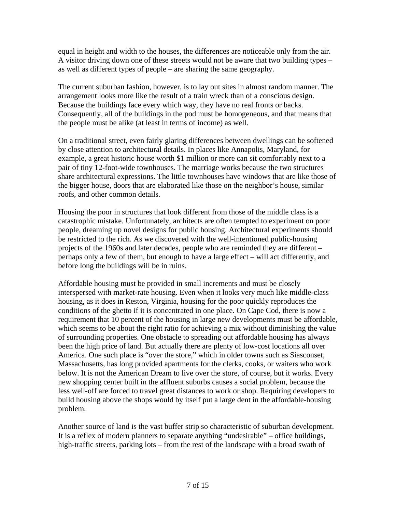equal in height and width to the houses, the differences are noticeable only from the air. A visitor driving down one of these streets would not be aware that two building types – as well as different types of people – are sharing the same geography.

The current suburban fashion, however, is to lay out sites in almost random manner. The arrangement looks more like the result of a train wreck than of a conscious design. Because the buildings face every which way, they have no real fronts or backs. Consequently, all of the buildings in the pod must be homogeneous, and that means that the people must be alike (at least in terms of income) as well.

On a traditional street, even fairly glaring differences between dwellings can be softened by close attention to architectural details. In places like Annapolis, Maryland, for example, a great historic house worth \$1 million or more can sit comfortably next to a pair of tiny 12-foot-wide townhouses. The marriage works because the two structures share architectural expressions. The little townhouses have windows that are like those of the bigger house, doors that are elaborated like those on the neighbor's house, similar roofs, and other common details.

Housing the poor in structures that look different from those of the middle class is a catastrophic mistake. Unfortunately, architects are often tempted to experiment on poor people, dreaming up novel designs for public housing. Architectural experiments should be restricted to the rich. As we discovered with the well-intentioned public-housing projects of the 1960s and later decades, people who are reminded they are different – perhaps only a few of them, but enough to have a large effect – will act differently, and before long the buildings will be in ruins.

Affordable housing must be provided in small increments and must be closely interspersed with market-rate housing. Even when it looks very much like middle-class housing, as it does in Reston, Virginia, housing for the poor quickly reproduces the conditions of the ghetto if it is concentrated in one place. On Cape Cod, there is now a requirement that 10 percent of the housing in large new developments must be affordable, which seems to be about the right ratio for achieving a mix without diminishing the value of surrounding properties. One obstacle to spreading out affordable housing has always been the high price of land. But actually there are plenty of low-cost locations all over America. One such place is "over the store," which in older towns such as Siasconset, Massachusetts, has long provided apartments for the clerks, cooks, or waiters who work below. It is not the American Dream to live over the store, of course, but it works. Every new shopping center built in the affluent suburbs causes a social problem, because the less well-off are forced to travel great distances to work or shop. Requiring developers to build housing above the shops would by itself put a large dent in the affordable-housing problem.

Another source of land is the vast buffer strip so characteristic of suburban development. It is a reflex of modern planners to separate anything "undesirable" – office buildings, high-traffic streets, parking lots – from the rest of the landscape with a broad swath of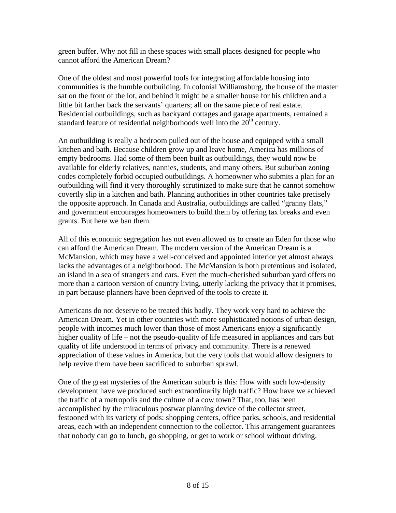green buffer. Why not fill in these spaces with small places designed for people who cannot afford the American Dream?

One of the oldest and most powerful tools for integrating affordable housing into communities is the humble outbuilding. In colonial Williamsburg, the house of the master sat on the front of the lot, and behind it might be a smaller house for his children and a little bit farther back the servants' quarters; all on the same piece of real estate. Residential outbuildings, such as backyard cottages and garage apartments, remained a standard feature of residential neighborhoods well into the  $20<sup>th</sup>$  century.

An outbuilding is really a bedroom pulled out of the house and equipped with a small kitchen and bath. Because children grow up and leave home, America has millions of empty bedrooms. Had some of them been built as outbuildings, they would now be available for elderly relatives, nannies, students, and many others. But suburban zoning codes completely forbid occupied outbuildings. A homeowner who submits a plan for an outbuilding will find it very thoroughly scrutinized to make sure that he cannot somehow covertly slip in a kitchen and bath. Planning authorities in other countries take precisely the opposite approach. In Canada and Australia, outbuildings are called "granny flats," and government encourages homeowners to build them by offering tax breaks and even grants. But here we ban them.

All of this economic segregation has not even allowed us to create an Eden for those who can afford the American Dream. The modern version of the American Dream is a McMansion, which may have a well-conceived and appointed interior yet almost always lacks the advantages of a neighborhood. The McMansion is both pretentious and isolated, an island in a sea of strangers and cars. Even the much-cherished suburban yard offers no more than a cartoon version of country living, utterly lacking the privacy that it promises, in part because planners have been deprived of the tools to create it.

Americans do not deserve to be treated this badly. They work very hard to achieve the American Dream. Yet in other countries with more sophisticated notions of urban design, people with incomes much lower than those of most Americans enjoy a significantly higher quality of life – not the pseudo-quality of life measured in appliances and cars but quality of life understood in terms of privacy and community. There is a renewed appreciation of these values in America, but the very tools that would allow designers to help revive them have been sacrificed to suburban sprawl.

One of the great mysteries of the American suburb is this: How with such low-density development have we produced such extraordinarily high traffic? How have we achieved the traffic of a metropolis and the culture of a cow town? That, too, has been accomplished by the miraculous postwar planning device of the collector street, festooned with its variety of pods: shopping centers, office parks, schools, and residential areas, each with an independent connection to the collector. This arrangement guarantees that nobody can go to lunch, go shopping, or get to work or school without driving.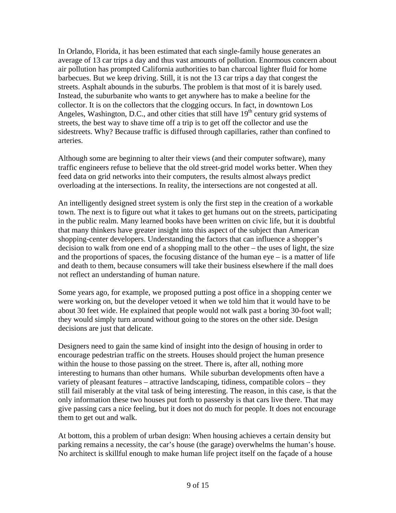In Orlando, Florida, it has been estimated that each single-family house generates an average of 13 car trips a day and thus vast amounts of pollution. Enormous concern about air pollution has prompted California authorities to ban charcoal lighter fluid for home barbecues. But we keep driving. Still, it is not the 13 car trips a day that congest the streets. Asphalt abounds in the suburbs. The problem is that most of it is barely used. Instead, the suburbanite who wants to get anywhere has to make a beeline for the collector. It is on the collectors that the clogging occurs. In fact, in downtown Los Angeles, Washington, D.C., and other cities that still have  $19<sup>th</sup>$  century grid systems of streets, the best way to shave time off a trip is to get off the collector and use the sidestreets. Why? Because traffic is diffused through capillaries, rather than confined to arteries.

Although some are beginning to alter their views (and their computer software), many traffic engineers refuse to believe that the old street-grid model works better. When they feed data on grid networks into their computers, the results almost always predict overloading at the intersections. In reality, the intersections are not congested at all.

An intelligently designed street system is only the first step in the creation of a workable town. The next is to figure out what it takes to get humans out on the streets, participating in the public realm. Many learned books have been written on civic life, but it is doubtful that many thinkers have greater insight into this aspect of the subject than American shopping-center developers. Understanding the factors that can influence a shopper's decision to walk from one end of a shopping mall to the other – the uses of light, the size and the proportions of spaces, the focusing distance of the human  $eye - is a matter of life$ and death to them, because consumers will take their business elsewhere if the mall does not reflect an understanding of human nature.

Some years ago, for example, we proposed putting a post office in a shopping center we were working on, but the developer vetoed it when we told him that it would have to be about 30 feet wide. He explained that people would not walk past a boring 30-foot wall; they would simply turn around without going to the stores on the other side. Design decisions are just that delicate.

Designers need to gain the same kind of insight into the design of housing in order to encourage pedestrian traffic on the streets. Houses should project the human presence within the house to those passing on the street. There is, after all, nothing more interesting to humans than other humans. While suburban developments often have a variety of pleasant features – attractive landscaping, tidiness, compatible colors – they still fail miserably at the vital task of being interesting. The reason, in this case, is that the only information these two houses put forth to passersby is that cars live there. That may give passing cars a nice feeling, but it does not do much for people. It does not encourage them to get out and walk.

At bottom, this a problem of urban design: When housing achieves a certain density but parking remains a necessity, the car's house (the garage) overwhelms the human's house. No architect is skillful enough to make human life project itself on the façade of a house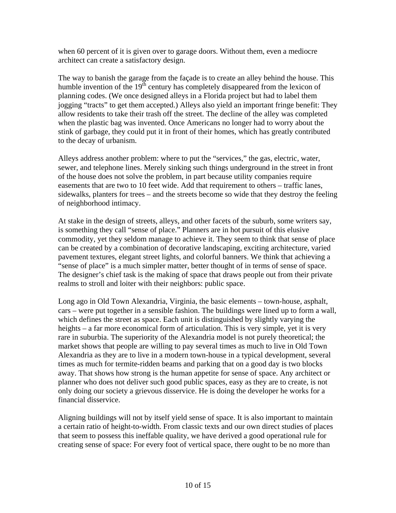when 60 percent of it is given over to garage doors. Without them, even a mediocre architect can create a satisfactory design.

The way to banish the garage from the façade is to create an alley behind the house. This humble invention of the  $19<sup>th</sup>$  century has completely disappeared from the lexicon of planning codes. (We once designed alleys in a Florida project but had to label them jogging "tracts" to get them accepted.) Alleys also yield an important fringe benefit: They allow residents to take their trash off the street. The decline of the alley was completed when the plastic bag was invented. Once Americans no longer had to worry about the stink of garbage, they could put it in front of their homes, which has greatly contributed to the decay of urbanism.

Alleys address another problem: where to put the "services," the gas, electric, water, sewer, and telephone lines. Merely sinking such things underground in the street in front of the house does not solve the problem, in part because utility companies require easements that are two to 10 feet wide. Add that requirement to others – traffic lanes, sidewalks, planters for trees – and the streets become so wide that they destroy the feeling of neighborhood intimacy.

At stake in the design of streets, alleys, and other facets of the suburb, some writers say, is something they call "sense of place." Planners are in hot pursuit of this elusive commodity, yet they seldom manage to achieve it. They seem to think that sense of place can be created by a combination of decorative landscaping, exciting architecture, varied pavement textures, elegant street lights, and colorful banners. We think that achieving a "sense of place" is a much simpler matter, better thought of in terms of sense of space. The designer's chief task is the making of space that draws people out from their private realms to stroll and loiter with their neighbors: public space.

Long ago in Old Town Alexandria, Virginia, the basic elements – town-house, asphalt, cars – were put together in a sensible fashion. The buildings were lined up to form a wall, which defines the street as space. Each unit is distinguished by slightly varying the heights – a far more economical form of articulation. This is very simple, yet it is very rare in suburbia. The superiority of the Alexandria model is not purely theoretical; the market shows that people are willing to pay several times as much to live in Old Town Alexandria as they are to live in a modern town-house in a typical development, several times as much for termite-ridden beams and parking that on a good day is two blocks away. That shows how strong is the human appetite for sense of space. Any architect or planner who does not deliver such good public spaces, easy as they are to create, is not only doing our society a grievous disservice. He is doing the developer he works for a financial disservice.

Aligning buildings will not by itself yield sense of space. It is also important to maintain a certain ratio of height-to-width. From classic texts and our own direct studies of places that seem to possess this ineffable quality, we have derived a good operational rule for creating sense of space: For every foot of vertical space, there ought to be no more than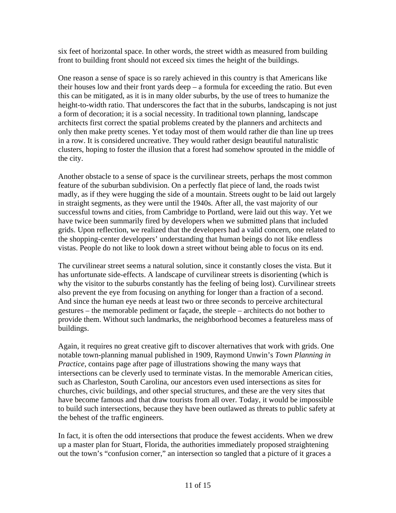six feet of horizontal space. In other words, the street width as measured from building front to building front should not exceed six times the height of the buildings.

One reason a sense of space is so rarely achieved in this country is that Americans like their houses low and their front yards deep – a formula for exceeding the ratio. But even this can be mitigated, as it is in many older suburbs, by the use of trees to humanize the height-to-width ratio. That underscores the fact that in the suburbs, landscaping is not just a form of decoration; it is a social necessity. In traditional town planning, landscape architects first correct the spatial problems created by the planners and architects and only then make pretty scenes. Yet today most of them would rather die than line up trees in a row. It is considered uncreative. They would rather design beautiful naturalistic clusters, hoping to foster the illusion that a forest had somehow sprouted in the middle of the city.

Another obstacle to a sense of space is the curvilinear streets, perhaps the most common feature of the suburban subdivision. On a perfectly flat piece of land, the roads twist madly, as if they were hugging the side of a mountain. Streets ought to be laid out largely in straight segments, as they were until the 1940s. After all, the vast majority of our successful towns and cities, from Cambridge to Portland, were laid out this way. Yet we have twice been summarily fired by developers when we submitted plans that included grids. Upon reflection, we realized that the developers had a valid concern, one related to the shopping-center developers' understanding that human beings do not like endless vistas. People do not like to look down a street without being able to focus on its end.

The curvilinear street seems a natural solution, since it constantly closes the vista. But it has unfortunate side-effects. A landscape of curvilinear streets is disorienting (which is why the visitor to the suburbs constantly has the feeling of being lost). Curvilinear streets also prevent the eye from focusing on anything for longer than a fraction of a second. And since the human eye needs at least two or three seconds to perceive architectural gestures – the memorable pediment or façade, the steeple – architects do not bother to provide them. Without such landmarks, the neighborhood becomes a featureless mass of buildings.

Again, it requires no great creative gift to discover alternatives that work with grids. One notable town-planning manual published in 1909, Raymond Unwin's *Town Planning in Practice*, contains page after page of illustrations showing the many ways that intersections can be cleverly used to terminate vistas. In the memorable American cities, such as Charleston, South Carolina, our ancestors even used intersections as sites for churches, civic buildings, and other special structures, and these are the very sites that have become famous and that draw tourists from all over. Today, it would be impossible to build such intersections, because they have been outlawed as threats to public safety at the behest of the traffic engineers.

In fact, it is often the odd intersections that produce the fewest accidents. When we drew up a master plan for Stuart, Florida, the authorities immediately proposed straightening out the town's "confusion corner," an intersection so tangled that a picture of it graces a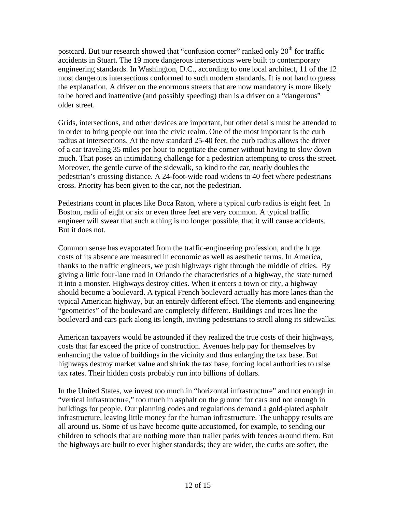postcard. But our research showed that "confusion corner" ranked only 20<sup>th</sup> for traffic accidents in Stuart. The 19 more dangerous intersections were built to contemporary engineering standards. In Washington, D.C., according to one local architect, 11 of the 12 most dangerous intersections conformed to such modern standards. It is not hard to guess the explanation. A driver on the enormous streets that are now mandatory is more likely to be bored and inattentive (and possibly speeding) than is a driver on a "dangerous" older street.

Grids, intersections, and other devices are important, but other details must be attended to in order to bring people out into the civic realm. One of the most important is the curb radius at intersections. At the now standard 25-40 feet, the curb radius allows the driver of a car traveling 35 miles per hour to negotiate the corner without having to slow down much. That poses an intimidating challenge for a pedestrian attempting to cross the street. Moreover, the gentle curve of the sidewalk, so kind to the car, nearly doubles the pedestrian's crossing distance. A 24-foot-wide road widens to 40 feet where pedestrians cross. Priority has been given to the car, not the pedestrian.

Pedestrians count in places like Boca Raton, where a typical curb radius is eight feet. In Boston, radii of eight or six or even three feet are very common. A typical traffic engineer will swear that such a thing is no longer possible, that it will cause accidents. But it does not.

Common sense has evaporated from the traffic-engineering profession, and the huge costs of its absence are measured in economic as well as aesthetic terms. In America, thanks to the traffic engineers, we push highways right through the middle of cities. By giving a little four-lane road in Orlando the characteristics of a highway, the state turned it into a monster. Highways destroy cities. When it enters a town or city, a highway should become a boulevard. A typical French boulevard actually has more lanes than the typical American highway, but an entirely different effect. The elements and engineering "geometries" of the boulevard are completely different. Buildings and trees line the boulevard and cars park along its length, inviting pedestrians to stroll along its sidewalks.

American taxpayers would be astounded if they realized the true costs of their highways, costs that far exceed the price of construction. Avenues help pay for themselves by enhancing the value of buildings in the vicinity and thus enlarging the tax base. But highways destroy market value and shrink the tax base, forcing local authorities to raise tax rates. Their hidden costs probably run into billions of dollars.

In the United States, we invest too much in "horizontal infrastructure" and not enough in "vertical infrastructure," too much in asphalt on the ground for cars and not enough in buildings for people. Our planning codes and regulations demand a gold-plated asphalt infrastructure, leaving little money for the human infrastructure. The unhappy results are all around us. Some of us have become quite accustomed, for example, to sending our children to schools that are nothing more than trailer parks with fences around them. But the highways are built to ever higher standards; they are wider, the curbs are softer, the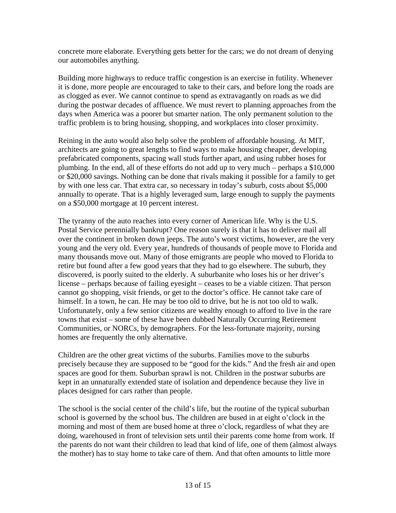concrete more elaborate. Everything gets better for the cars; we do not dream of denying our automobiles anything.

Building more highways to reduce traffic congestion is an exercise in futility. Whenever it is done, more people are encouraged to take to their cars, and before long the roads are as clogged as ever. We cannot continue to spend as extravagantly on roads as we did during the postwar decades of affluence. We must revert to planning approaches from the days when America was a poorer but smarter nation. The only permanent solution to the traffic problem is to bring housing, shopping, and workplaces into closer proximity.

Reining in the auto would also help solve the problem of affordable housing. At MIT, architects are going to great lengths to find ways to make housing cheaper, developing prefabricated components, spacing wall studs further apart, and using rubber hoses for plumbing. In the end, all of these efforts do not add up to very much – perhaps a \$10,000 or \$20,000 savings. Nothing can be done that rivals making it possible for a family to get by with one less car. That extra car, so necessary in today's suburb, costs about \$5,000 annually to operate. That is a highly leveraged sum, large enough to supply the payments on a \$50,000 mortgage at 10 percent interest.

The tyranny of the auto reaches into every corner of American life. Why is the U.S. Postal Service perennially bankrupt? One reason surely is that it has to deliver mail all over the continent in broken down jeeps. The auto's worst victims, however, are the very young and the very old. Every year, hundreds of thousands of people move to Florida and many thousands move out. Many of those emigrants are people who moved to Florida to retire but found after a few good years that they had to go elsewhere. The suburb, they discovered, is poorly suited to the elderly. A suburbanite who loses his or her driver's license – perhaps because of failing eyesight – ceases to be a viable citizen. That person cannot go shopping, visit friends, or get to the doctor's office. He cannot take care of himself. In a town, he can. He may be too old to drive, but he is not too old to walk. Unfortunately, only a few senior citizens are wealthy enough to afford to live in the rare towns that exist – some of these have been dubbed Naturally Occurring Retirement Communities, or NORCs, by demographers. For the less-fortunate majority, nursing homes are frequently the only alternative.

Children are the other great victims of the suburbs. Families move to the suburbs precisely because they are supposed to be "good for the kids." And the fresh air and open spaces are good for them. Suburban sprawl is not. Children in the postwar suburbs are kept in an unnaturally extended state of isolation and dependence because they live in places designed for cars rather than people.

The school is the social center of the child's life, but the routine of the typical suburban school is governed by the school bus. The children are bused in at eight o'clock in the morning and most of them are bused home at three o'clock, regardless of what they are doing, warehoused in front of television sets until their parents come home from work. If the parents do not want their children to lead that kind of life, one of them (almost always the mother) has to stay home to take care of them. And that often amounts to little more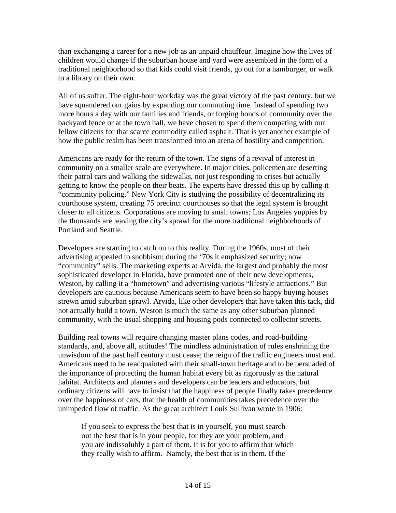than exchanging a career for a new job as an unpaid chauffeur. Imagine how the lives of children would change if the suburban house and yard were assembled in the form of a traditional neighborhood so that kids could visit friends, go out for a hamburger, or walk to a library on their own.

All of us suffer. The eight-hour workday was the great victory of the past century, but we have squandered our gains by expanding our commuting time. Instead of spending two more hours a day with our families and friends, or forging bonds of community over the backyard fence or at the town hall, we have chosen to spend them competing with our fellow citizens for that scarce commodity called asphalt. That is yet another example of how the public realm has been transformed into an arena of hostility and competition.

Americans are ready for the return of the town. The signs of a revival of interest in community on a smaller scale are everywhere. In major cities, policemen are deserting their patrol cars and walking the sidewalks, not just responding to crises but actually getting to know the people on their beats. The experts have dressed this up by calling it "community policing." New York City is studying the possibility of decentralizing its courthouse system, creating 75 precinct courthouses so that the legal system is brought closer to all citizens. Corporations are moving to small towns; Los Angeles yuppies by the thousands are leaving the city's sprawl for the more traditional neighborhoods of Portland and Seattle.

Developers are starting to catch on to this reality. During the 1960s, most of their advertising appealed to snobbism; during the '70s it emphasized security; now "community" sells. The marketing experts at Arvida, the largest and probably the most sophisticated developer in Florida, have promoted one of their new developments, Weston, by calling it a "hometown" and advertising various "lifestyle attractions." But developers are cautious because Americans seem to have been so happy buying houses strewn amid suburban sprawl. Arvida, like other developers that have taken this tack, did not actually build a town. Weston is much the same as any other suburban planned community, with the usual shopping and housing pods connected to collector streets.

Building real towns will require changing master plans codes, and road-building standards, and, above all, attitudes! The mindless administration of rules enshrining the unwisdom of the past half century must cease; the reign of the traffic engineers must end. Americans need to be reacquainted with their small-town heritage and to be persuaded of the importance of protecting the human habitat every bit as rigorously as the natural habitat. Architects and planners and developers can be leaders and educators, but ordinary citizens will have to insist that the happiness of people finally takes precedence over the happiness of cars, that the health of communities takes precedence over the unimpeded flow of traffic. As the great architect Louis Sullivan wrote in 1906:

 If you seek to express the best that is in yourself, you must search out the best that is in your people, for they are your problem, and you are indissolubly a part of them. It is for you to affirm that which they really wish to affirm. Namely, the best that is in them. If the